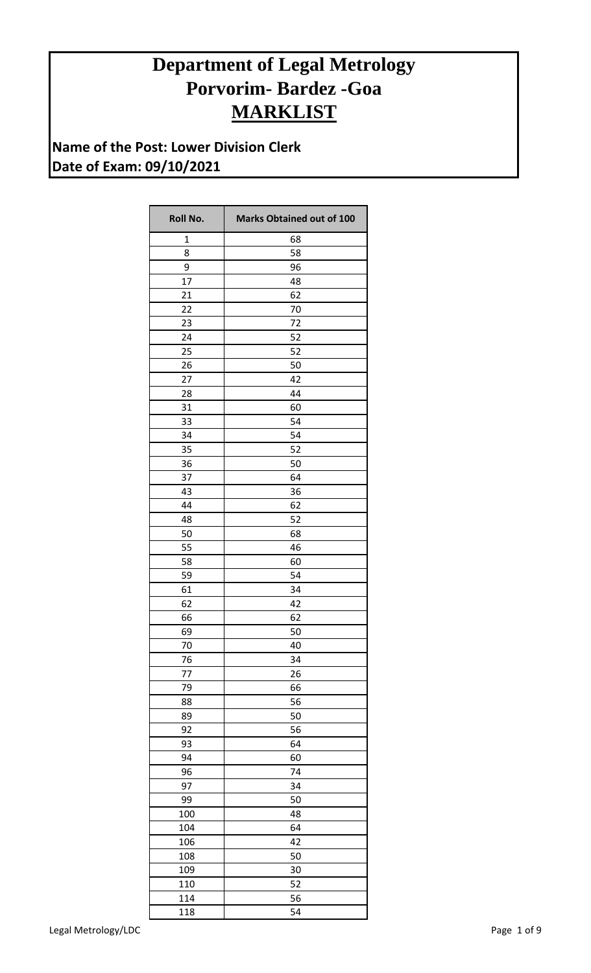## **Department of Legal Metrology Porvorim- Bardez -Goa MARKLIST**

**Name of the Post: Lower Division Clerk Date of Exam: 09/10/2021**

| Roll No. | <b>Marks Obtained out of 100</b> |
|----------|----------------------------------|
| 1        | 68                               |
| 8        | 58                               |
| 9        | 96                               |
| 17       | 48                               |
| 21       | 62                               |
| 22       | 70                               |
| 23       | 72                               |
| 24       | 52                               |
| 25       | 52                               |
| 26       | 50                               |
| 27       | 42                               |
| 28       | 44                               |
| 31       | 60                               |
| 33       | 54                               |
| 34       | 54                               |
| 35       | 52                               |
| 36       | 50                               |
| 37       | 64                               |
| 43       | 36                               |
| 44       | 62                               |
| 48       | 52                               |
| 50       | 68                               |
| 55       | 46                               |
| 58       | 60                               |
| 59       | 54                               |
| 61       | 34                               |
| 62       | 42                               |
| 66       | 62                               |
| 69       | 50                               |
| 70       | 40                               |
| 76       | 34                               |
| 77       | 26                               |
| 79       | 66                               |
| 88       | 56                               |
| 89       | 50                               |
| 92       | 56                               |
| 93       | 64                               |
| 94       | 60                               |
| 96       | 74                               |
| 97       | 34                               |
| 99       | 50                               |
| 100      | 48                               |
| 104      | 64                               |
| 106      | 42                               |
| 108      | 50                               |
| 109      | 30                               |
| 110      | 52                               |
| 114      | 56                               |
| 118      | 54                               |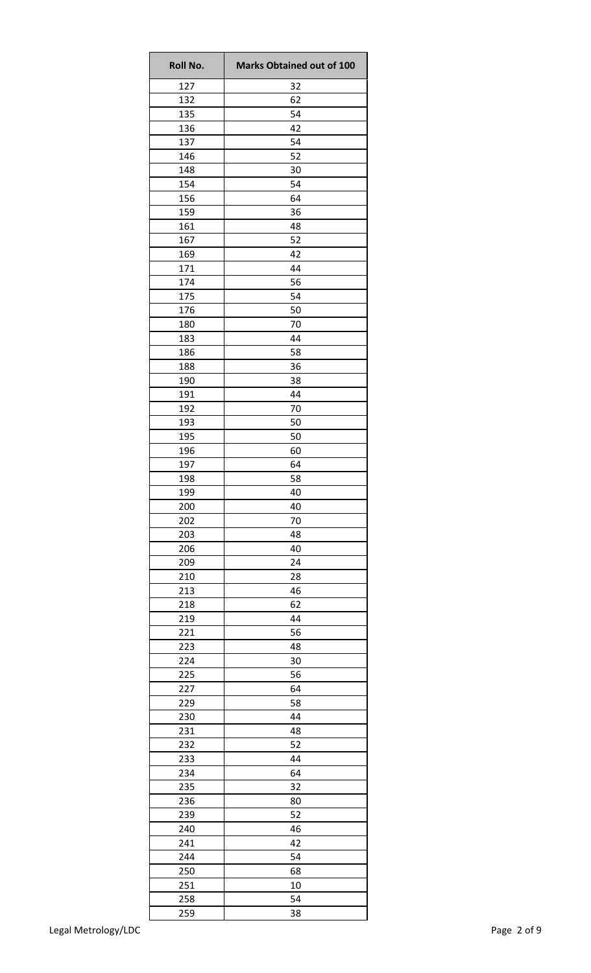| <b>Roll No.</b> | <b>Marks Obtained out of 100</b> |
|-----------------|----------------------------------|
| 127             | 32                               |
| 132             | 62                               |
| 135             | 54                               |
| 136             | 42                               |
| 137             | 54                               |
| 146             | 52                               |
| 148             | 30                               |
| 154             | 54                               |
| 156             | 64                               |
| 159             | 36                               |
| 161             | 48                               |
| 167             | 52                               |
| 169             | 42                               |
| 171             | 44                               |
| 174             | 56                               |
| 175             | 54                               |
| 176             | 50                               |
| 180             | 70                               |
| 183             | 44                               |
| 186             | 58                               |
| 188             | 36                               |
| 190             | 38                               |
| 191             | 44                               |
| 192             | 70                               |
| 193             | 50                               |
| 195             | 50                               |
| 196             | 60                               |
| 197             | 64                               |
| 198             | 58                               |
| 199             | 40                               |
| 200             | 40                               |
| 202             | 70                               |
| 203             | 48                               |
| 206             | 40                               |
| 209             | 24                               |
| 210             | 28                               |
| 213             | 46                               |
| 218             | 62                               |
| 219             | 44                               |
| 221             | 56                               |
| 223             | 48                               |
| 224             | 30                               |
| 225             | 56                               |
| 227             | 64                               |
| 229             | 58                               |
| 230             | 44                               |
| 231             | 48                               |
| 232             | 52                               |
| 233             | 44                               |
| 234             | 64                               |
| 235             | 32                               |
| 236             | 80                               |
| 239             | 52                               |
| 240             | 46                               |
| 241             | 42                               |
| 244             | 54                               |
| 250             | 68                               |
| 251             | 10                               |
| 258             | 54                               |
| 259             | 38                               |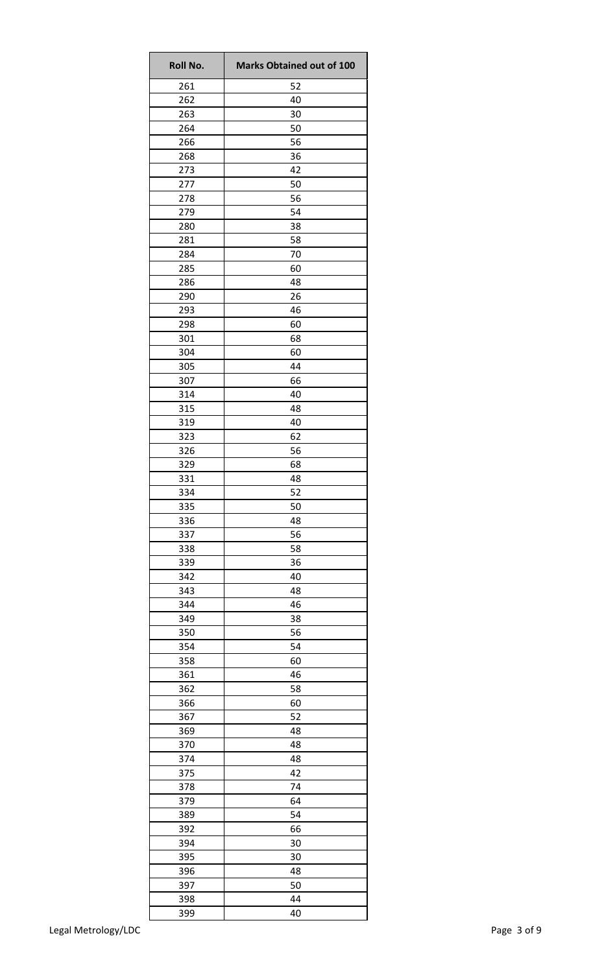| <b>Roll No.</b> | <b>Marks Obtained out of 100</b> |
|-----------------|----------------------------------|
| 261             | 52                               |
| 262             | 40                               |
| 263             | 30                               |
| 264             | 50                               |
| 266             | 56                               |
| 268             | 36                               |
| 273             | 42                               |
| 277             | 50                               |
| 278             | 56                               |
| 279             | 54                               |
| 280             | 38                               |
| 281             | 58                               |
| 284             | 70                               |
| 285             | 60                               |
| 286             | 48                               |
| 290             | 26                               |
| 293             | 46                               |
| 298             | 60                               |
| 301             | 68                               |
| 304             | 60                               |
| 305             | 44                               |
| 307             | 66                               |
| 314             | 40                               |
| 315             | 48                               |
| 319             | 40                               |
| 323             | 62                               |
|                 |                                  |
| 326             | 56                               |
| 329             | 68                               |
| 331             | 48                               |
| 334             | 52                               |
| 335             | 50                               |
| 336             | 48                               |
| 337             | 56                               |
| 338             | 58                               |
| 339             | 36                               |
| 342             | 40                               |
| 343             | 48                               |
| 344             | 46                               |
| 349             | 38                               |
| 350             | 56                               |
| 354             | 54                               |
| 358             | 60                               |
| 361             | 46                               |
| 362             | 58                               |
| 366             | 60                               |
| 367             | 52                               |
| 369             | 48                               |
| 370             | 48                               |
| 374             | 48                               |
| 375             | 42                               |
| 378             | 74                               |
| 379             | 64                               |
| 389             | 54                               |
| 392             | 66                               |
| 394             | 30                               |
| 395             | 30                               |
| 396             | 48                               |
|                 | 50                               |
| 397             |                                  |
| 398             | 44                               |
| 399             | 40                               |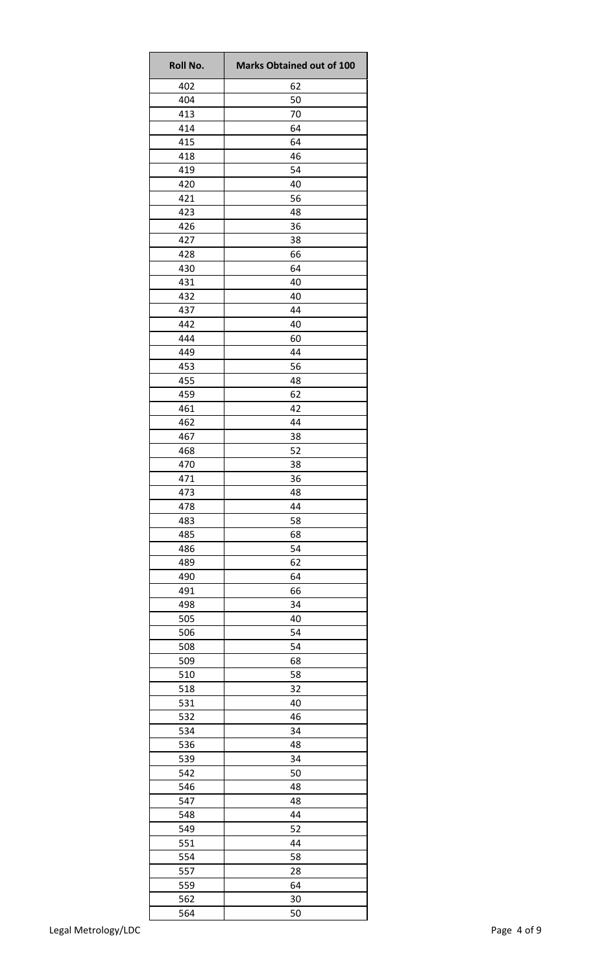| Roll No. | <b>Marks Obtained out of 100</b> |
|----------|----------------------------------|
| 402      | 62                               |
| 404      | 50                               |
| 413      | 70                               |
| 414      | 64                               |
| 415      | 64                               |
| 418      | 46                               |
| 419      | 54                               |
| 420      | 40                               |
| 421      | 56                               |
| 423      | 48                               |
| 426      | 36                               |
| 427      | 38                               |
| 428      | 66                               |
| 430      | 64                               |
| 431      | 40                               |
| 432      | 40                               |
| 437      | 44                               |
| 442      | 40                               |
| 444      | 60                               |
| 449      | 44                               |
| 453      | 56                               |
| 455      | 48                               |
| 459      | 62                               |
| 461      | 42                               |
| 462      | 44                               |
| 467      | 38                               |
| 468      | 52                               |
| 470      | 38                               |
| 471      | 36                               |
| 473      | 48                               |
| 478      | 44                               |
| 483      | 58                               |
| 485      | 68                               |
| 486      | 54                               |
| 489      | 62                               |
| 490      | 64                               |
| 491      | 66                               |
| 498      | 34                               |
| 505      | 40                               |
| 506      | 54                               |
| 508      | 54                               |
| 509      | 68                               |
| 510      | 58                               |
| 518      | 32                               |
| 531      | 40                               |
| 532      | 46                               |
| 534      | 34                               |
| 536      | 48                               |
| 539      | 34                               |
| 542      | 50                               |
| 546      | 48                               |
| 547      | 48                               |
| 548      | 44                               |
| 549      | 52                               |
| 551      | 44                               |
| 554      | 58                               |
| 557      | 28                               |
| 559      | 64                               |
| 562      | 30                               |
| 564      | 50                               |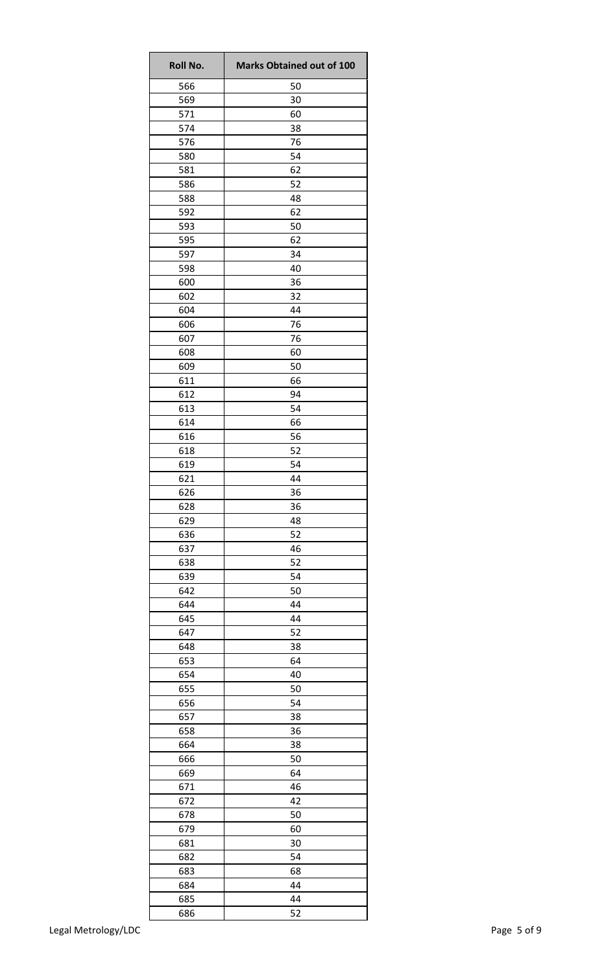| <b>Roll No.</b> | <b>Marks Obtained out of 100</b> |
|-----------------|----------------------------------|
| 566             | 50                               |
| 569             | 30                               |
| 571             | 60                               |
| 574             | 38                               |
| 576             | 76                               |
| 580             | 54                               |
| 581             | 62                               |
| 586             | 52                               |
| 588             | 48                               |
| 592             | 62                               |
| 593<br>595      | 50<br>62                         |
| 597             | 34                               |
| 598             | 40                               |
| 600             | 36                               |
| 602             | 32                               |
| 604             | 44                               |
| 606             | 76                               |
| 607             | 76                               |
| 608             | 60                               |
| 609             | 50                               |
| 611             | 66                               |
| 612             | 94                               |
| 613             | 54                               |
| 614             | 66                               |
| 616             | 56                               |
| 618             | 52                               |
| 619             | 54                               |
| 621             | 44                               |
| 626             | 36                               |
| 628             | 36                               |
| 629             | 48                               |
| 636             | 52                               |
| 637             | 46                               |
| 638             | 52                               |
| 639             | 54                               |
| 642             | 50                               |
| 644             | 44                               |
| 645             | 44                               |
| 647             | 52                               |
| 648             | 38                               |
| 653             | 64                               |
| 654             | 40                               |
| 655             | 50                               |
| 656             | 54                               |
| 657             | 38                               |
| 658             | 36                               |
| 664             | 38                               |
| 666             | 50                               |
| 669             | 64                               |
| 671             | 46                               |
| 672             | 42                               |
| 678             | 50                               |
| 679             | 60                               |
| 681             | 30                               |
| 682             | 54                               |
| 683             | 68                               |
| 684             | 44                               |
| 685             | 44                               |
| 686             | 52                               |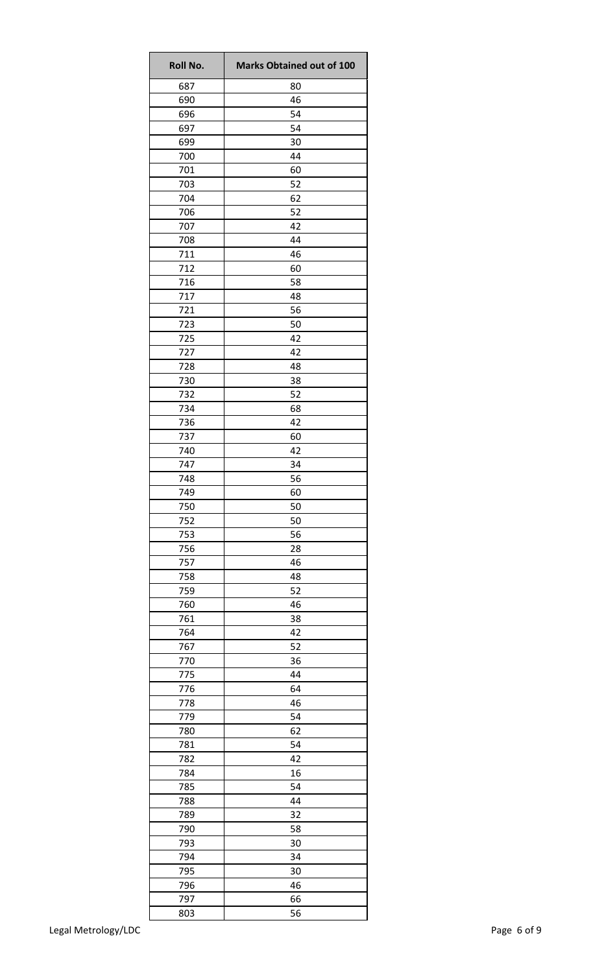| Roll No. | <b>Marks Obtained out of 100</b> |
|----------|----------------------------------|
| 687      | 80                               |
| 690      | 46                               |
| 696      | 54                               |
| 697      | 54                               |
| 699      | 30                               |
| 700      | 44                               |
| 701      | 60                               |
| 703      | 52                               |
| 704      | 62                               |
| 706      | 52                               |
| 707      | 42                               |
| 708      | 44                               |
| 711      | 46                               |
| 712      | 60                               |
| 716      | 58                               |
| 717      | 48                               |
| 721      | 56                               |
| 723      | 50                               |
| 725      | 42                               |
| 727      | 42                               |
| 728      | 48                               |
| 730      | 38                               |
| 732      | 52                               |
| 734      | 68                               |
| 736      | 42                               |
| 737      | 60                               |
| 740      | 42                               |
| 747      | 34                               |
| 748      | 56                               |
| 749      | 60                               |
| 750      | 50                               |
| 752      | 50                               |
| 753      | 56                               |
| 756      | 28                               |
| 757      | 46                               |
| 758      | 48                               |
| 759      | 52                               |
| 760      | 46                               |
| 761      | 38                               |
| 764      | 42                               |
| 767      | 52                               |
| 770      | 36                               |
| 775      | 44                               |
| 776      | 64                               |
| 778      | 46                               |
| 779      | 54                               |
| 780      | 62                               |
| 781      | 54                               |
| 782      | 42                               |
| 784      | 16                               |
| 785      | 54                               |
| 788      | 44                               |
| 789      | 32                               |
| 790      | 58                               |
| 793      | 30                               |
| 794      | 34                               |
| 795      | 30                               |
| 796      | 46                               |
| 797      | 66                               |
| 803      | 56                               |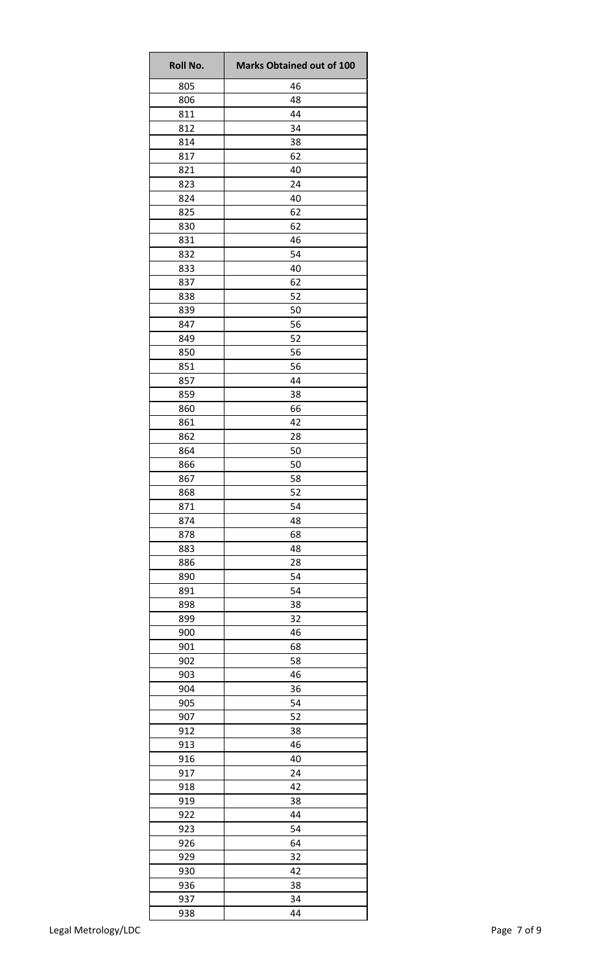| <b>Roll No.</b> | <b>Marks Obtained out of 100</b> |
|-----------------|----------------------------------|
| 805             | 46                               |
| 806             | 48                               |
| 811             | 44                               |
| 812             | 34                               |
| 814             | 38                               |
| 817             | 62                               |
| 821             | 40                               |
| 823             | 24                               |
| 824             | 40                               |
| 825             | 62                               |
| 830             | 62                               |
| 831             | 46                               |
| 832             | 54                               |
| 833             | 40                               |
| 837             | 62                               |
| 838             | 52                               |
| 839             | 50                               |
| 847             | 56                               |
| 849             | 52                               |
| 850             | 56                               |
| 851             | 56                               |
| 857             | 44                               |
| 859             | 38                               |
| 860             | 66                               |
| 861             | 42                               |
| 862             | 28                               |
| 864             | 50                               |
| 866             | 50                               |
| 867             | 58                               |
| 868             | 52                               |
| 871             | 54                               |
| 874             | 48                               |
| 878             | 68                               |
| 883             | 48                               |
| 886             | 28                               |
| 890             | 54                               |
|                 |                                  |
| 891             | 54                               |
| 898             | 38                               |
| 899             | 32                               |
| 900             | 46                               |
| 901             | 68                               |
| 902             | 58                               |
| 903             | 46                               |
| 904             | 36                               |
| 905             | 54                               |
| 907             | 52                               |
| 912             | 38                               |
| 913             | 46                               |
| 916             | 40                               |
| 917             | 24                               |
| 918             | 42                               |
| 919             | 38                               |
| 922             | 44                               |
| 923             | 54                               |
| 926             | 64                               |
| 929             | 32                               |
| 930             | 42                               |
| 936             | 38                               |
| 937             | 34                               |
| 938             | 44                               |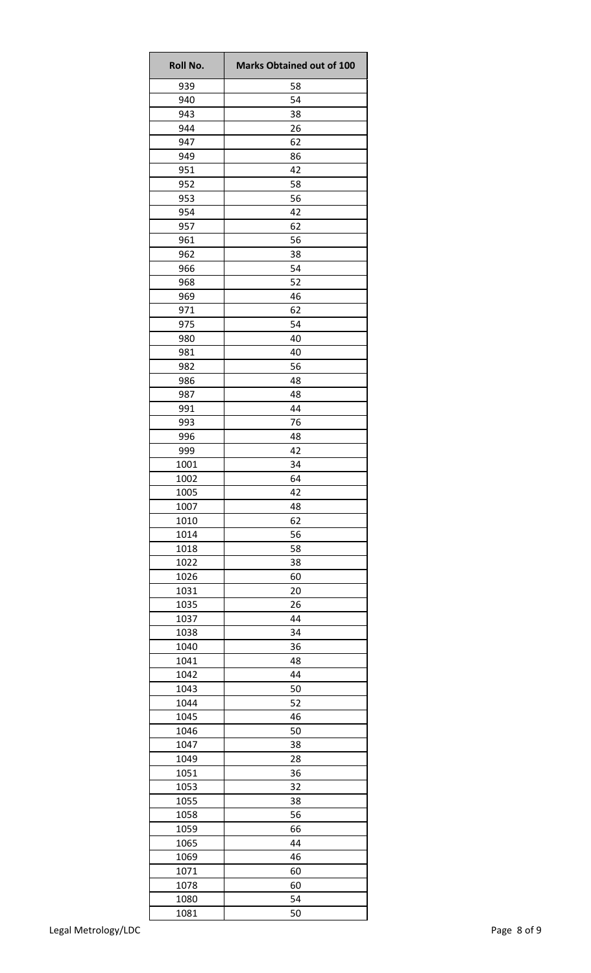| Roll No. | <b>Marks Obtained out of 100</b> |
|----------|----------------------------------|
| 939      | 58                               |
| 940      | 54                               |
| 943      | 38                               |
| 944      | 26                               |
| 947      | 62                               |
| 949      | 86                               |
| 951      | 42                               |
| 952      | 58                               |
| 953      | 56                               |
| 954      | 42                               |
| 957      | 62                               |
| 961      | 56                               |
| 962      | 38                               |
| 966      | 54                               |
| 968      | 52                               |
| 969      | 46                               |
| 971      | 62                               |
| 975      | 54                               |
| 980      | 40                               |
| 981      | 40                               |
| 982      | 56                               |
| 986      | 48                               |
| 987      | 48                               |
| 991      | 44                               |
| 993      | 76                               |
| 996      | 48                               |
| 999      | 42                               |
| 1001     | 34                               |
| 1002     | 64                               |
| 1005     | 42                               |
| 1007     | 48                               |
| 1010     | 62                               |
| 1014     | 56                               |
| 1018     | 58                               |
| 1022     | 38                               |
| 1026     | 60                               |
| 1031     | 20                               |
| 1035     | 26                               |
| 1037     | 44                               |
| 1038     | 34                               |
| 1040     | 36                               |
| 1041     | 48                               |
| 1042     | 44                               |
| 1043     | 50                               |
| 1044     | 52                               |
| 1045     | 46                               |
| 1046     | 50                               |
| 1047     | 38                               |
| 1049     | 28                               |
| 1051     | 36                               |
| 1053     | 32                               |
| 1055     | 38                               |
| 1058     | 56                               |
| 1059     | 66                               |
| 1065     | 44                               |
| 1069     | 46                               |
| 1071     | 60                               |
| 1078     | 60                               |
| 1080     | 54                               |
| 1081     | 50                               |
|          |                                  |